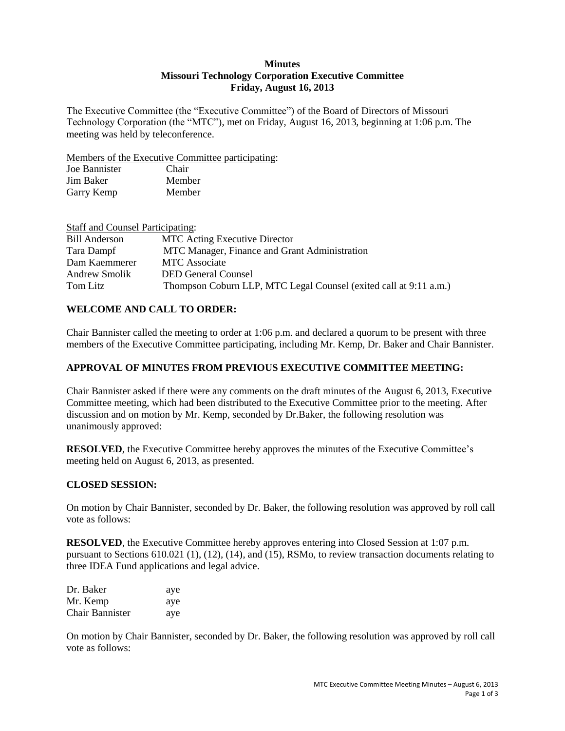### **Minutes Missouri Technology Corporation Executive Committee Friday, August 16, 2013**

The Executive Committee (the "Executive Committee") of the Board of Directors of Missouri Technology Corporation (the "MTC"), met on Friday, August 16, 2013, beginning at 1:06 p.m. The meeting was held by teleconference.

Members of the Executive Committee participating:

| Joe Bannister | Chair  |
|---------------|--------|
| Jim Baker     | Member |
| Garry Kemp    | Member |

| <b>Staff and Counsel Participating:</b> |                                                                   |
|-----------------------------------------|-------------------------------------------------------------------|
| <b>Bill Anderson</b>                    | <b>MTC</b> Acting Executive Director                              |
| Tara Dampf                              | MTC Manager, Finance and Grant Administration                     |
| Dam Kaemmerer                           | <b>MTC</b> Associate                                              |
| Andrew Smolik                           | <b>DED General Counsel</b>                                        |
| Tom Litz                                | Thompson Coburn LLP, MTC Legal Counsel (exited call at 9:11 a.m.) |

## **WELCOME AND CALL TO ORDER:**

Chair Bannister called the meeting to order at 1:06 p.m. and declared a quorum to be present with three members of the Executive Committee participating, including Mr. Kemp, Dr. Baker and Chair Bannister.

## **APPROVAL OF MINUTES FROM PREVIOUS EXECUTIVE COMMITTEE MEETING:**

Chair Bannister asked if there were any comments on the draft minutes of the August 6, 2013, Executive Committee meeting, which had been distributed to the Executive Committee prior to the meeting. After discussion and on motion by Mr. Kemp, seconded by Dr.Baker, the following resolution was unanimously approved:

**RESOLVED**, the Executive Committee hereby approves the minutes of the Executive Committee's meeting held on August 6, 2013, as presented.

### **CLOSED SESSION:**

On motion by Chair Bannister, seconded by Dr. Baker, the following resolution was approved by roll call vote as follows:

**RESOLVED**, the Executive Committee hereby approves entering into Closed Session at 1:07 p.m. pursuant to Sections 610.021 (1), (12), (14), and (15), RSMo, to review transaction documents relating to three IDEA Fund applications and legal advice.

| Dr. Baker       | aye |
|-----------------|-----|
| Mr. Kemp        | ave |
| Chair Bannister | aye |

On motion by Chair Bannister, seconded by Dr. Baker, the following resolution was approved by roll call vote as follows: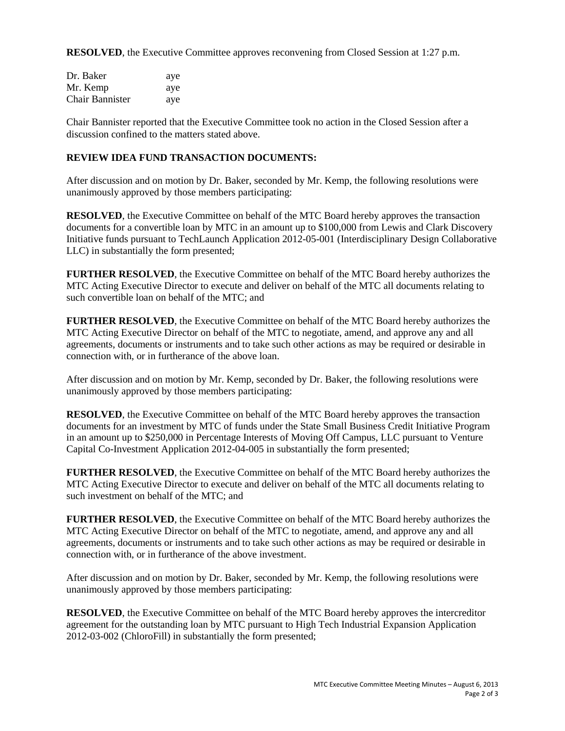**RESOLVED**, the Executive Committee approves reconvening from Closed Session at 1:27 p.m.

| Dr. Baker              | aye |
|------------------------|-----|
| Mr. Kemp               | aye |
| <b>Chair Bannister</b> | aye |

Chair Bannister reported that the Executive Committee took no action in the Closed Session after a discussion confined to the matters stated above.

# **REVIEW IDEA FUND TRANSACTION DOCUMENTS:**

After discussion and on motion by Dr. Baker, seconded by Mr. Kemp, the following resolutions were unanimously approved by those members participating:

**RESOLVED**, the Executive Committee on behalf of the MTC Board hereby approves the transaction documents for a convertible loan by MTC in an amount up to \$100,000 from Lewis and Clark Discovery Initiative funds pursuant to TechLaunch Application 2012-05-001 (Interdisciplinary Design Collaborative LLC) in substantially the form presented;

**FURTHER RESOLVED**, the Executive Committee on behalf of the MTC Board hereby authorizes the MTC Acting Executive Director to execute and deliver on behalf of the MTC all documents relating to such convertible loan on behalf of the MTC; and

**FURTHER RESOLVED**, the Executive Committee on behalf of the MTC Board hereby authorizes the MTC Acting Executive Director on behalf of the MTC to negotiate, amend, and approve any and all agreements, documents or instruments and to take such other actions as may be required or desirable in connection with, or in furtherance of the above loan.

After discussion and on motion by Mr. Kemp, seconded by Dr. Baker, the following resolutions were unanimously approved by those members participating:

**RESOLVED**, the Executive Committee on behalf of the MTC Board hereby approves the transaction documents for an investment by MTC of funds under the State Small Business Credit Initiative Program in an amount up to \$250,000 in Percentage Interests of Moving Off Campus, LLC pursuant to Venture Capital Co-Investment Application 2012-04-005 in substantially the form presented;

**FURTHER RESOLVED**, the Executive Committee on behalf of the MTC Board hereby authorizes the MTC Acting Executive Director to execute and deliver on behalf of the MTC all documents relating to such investment on behalf of the MTC; and

**FURTHER RESOLVED**, the Executive Committee on behalf of the MTC Board hereby authorizes the MTC Acting Executive Director on behalf of the MTC to negotiate, amend, and approve any and all agreements, documents or instruments and to take such other actions as may be required or desirable in connection with, or in furtherance of the above investment.

After discussion and on motion by Dr. Baker, seconded by Mr. Kemp, the following resolutions were unanimously approved by those members participating:

**RESOLVED**, the Executive Committee on behalf of the MTC Board hereby approves the intercreditor agreement for the outstanding loan by MTC pursuant to High Tech Industrial Expansion Application 2012-03-002 (ChloroFill) in substantially the form presented;